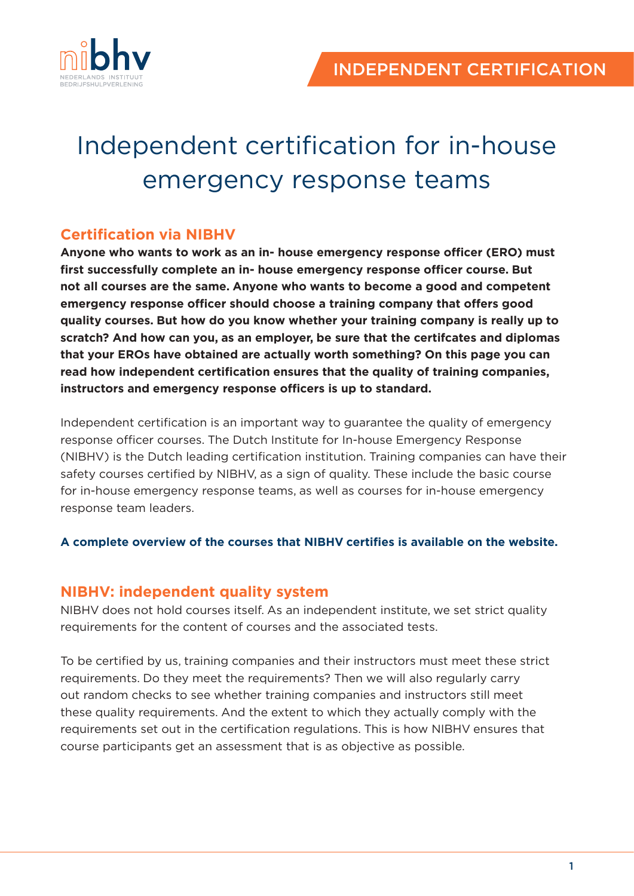

# Independent certification for in-house emergency response teams

# **Certification via NIBHV**

**Anyone who wants to work as an in- house emergency response officer (ERO) must first successfully complete an in- house emergency response officer course. But not all courses are the same. Anyone who wants to become a good and competent emergency response officer should choose a training company that offers good quality courses. But how do you know whether your training company is really up to scratch? And how can you, as an employer, be sure that the certifcates and diplomas that your EROs have obtained are actually worth something? On this page you can read how independent certification ensures that the quality of training companies, instructors and emergency response officers is up to standard.**

Independent certification is an important way to guarantee the quality of emergency response officer courses. The Dutch Institute for In-house Emergency Response (NIBHV) is the Dutch leading certification institution. Training companies can have their safety courses certified by NIBHV, as a sign of quality. These include the basic course for in-house emergency response teams, as well as courses for in-house emergency response team leaders.

#### **A complete overview of the courses that NIBHV certifies is available on the website.**

### **NIBHV: independent quality system**

NIBHV does not hold courses itself. As an independent institute, we set strict quality requirements for the content of courses and the associated tests.

To be certified by us, training companies and their instructors must meet these strict requirements. Do they meet the requirements? Then we will also regularly carry out random checks to see whether training companies and instructors still meet these quality requirements. And the extent to which they actually comply with the requirements set out in the certification regulations. This is how NIBHV ensures that course participants get an assessment that is as objective as possible.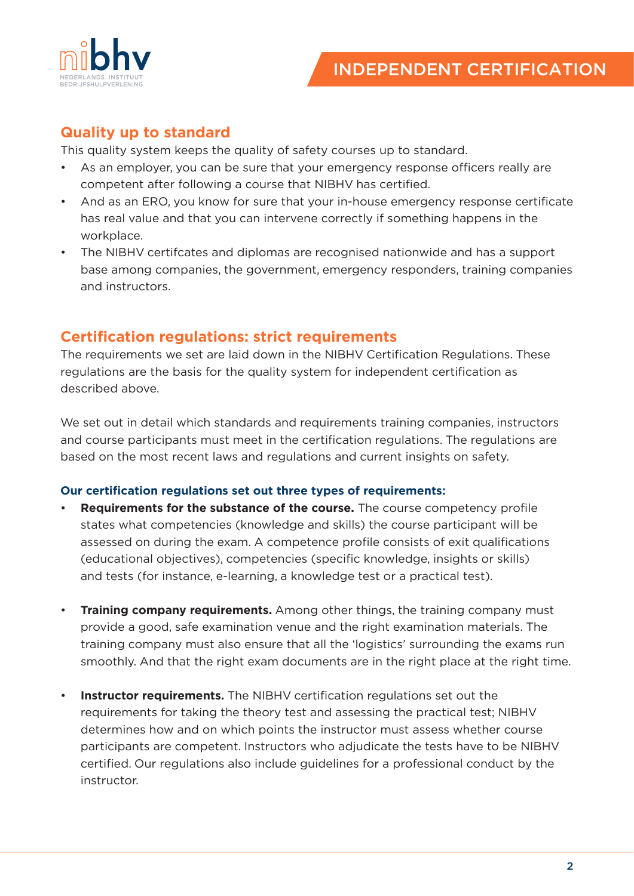

## **Quality up to standard**

This quality system keeps the quality of safety courses up to standard.

- As an employer, you can be sure that your emergency response officers really are competent after following a course that NIBHV has certified.
- And as an ERO, you know for sure that your in-house emergency response certificate has real value and that you can intervene correctly if something happens in the workplace.
- The NIBHV certifcates and diplomas are recognised nationwide and has a support base among companies, the government, emergency responders, training companies and instructors.

## **Certification regulations: strict requirements**

The requirements we set are laid down in the NIBHV Certification Regulations. These regulations are the basis for the quality system for independent certification as described above.

We set out in detail which standards and requirements training companies, instructors and course participants must meet in the certification regulations. The regulations are based on the most recent laws and regulations and current insights on safety.

#### **Our certification regulations set out three types of requirements:**

- **Requirements for the substance of the course.** The course competency profile states what competencies (knowledge and skills) the course participant will be assessed on during the exam. A competence profile consists of exit qualifications (educational objectives), competencies (specific knowledge, insights or skills) and tests (for instance, e-learning, a knowledge test or a practical test).
- **Training company requirements.** Among other things, the training company must provide a good, safe examination venue and the right examination materials. The training company must also ensure that all the 'logistics' surrounding the exams run smoothly. And that the right exam documents are in the right place at the right time.
- **Instructor requirements.** The NIBHV certification regulations set out the requirements for taking the theory test and assessing the practical test; NIBHV determines how and on which points the instructor must assess whether course participants are competent. Instructors who adjudicate the tests have to be NIBHV certified. Our regulations also include guidelines for a professional conduct by the instructor.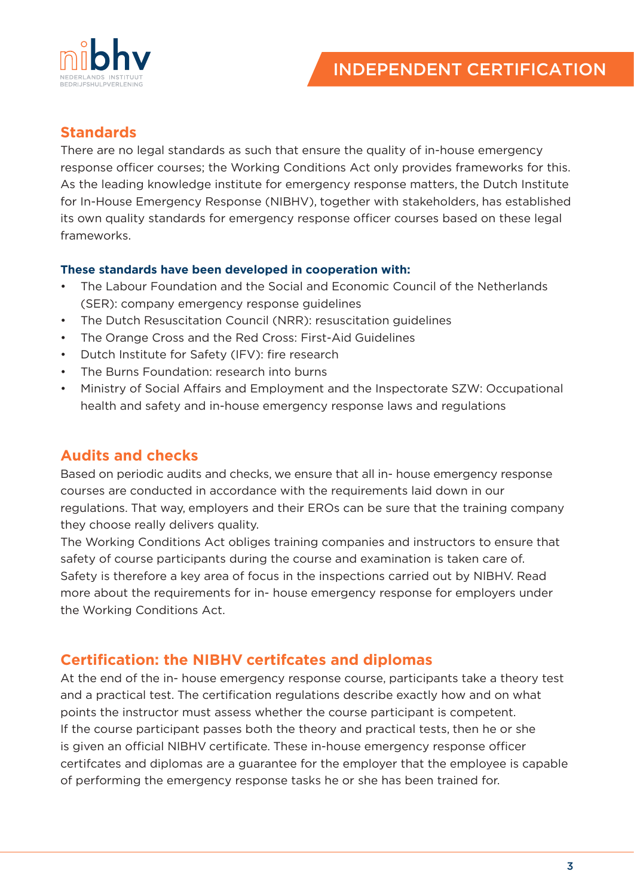

# **Standards**

There are no legal standards as such that ensure the quality of in-house emergency response officer courses; the Working Conditions Act only provides frameworks for this. As the leading knowledge institute for emergency response matters, the Dutch Institute for In-House Emergency Response (NIBHV), together with stakeholders, has established its own quality standards for emergency response officer courses based on these legal frameworks.

#### **These standards have been developed in cooperation with:**

- The Labour Foundation and the Social and Economic Council of the Netherlands (SER): company emergency response guidelines
- The Dutch Resuscitation Council (NRR): resuscitation guidelines
- The Orange Cross and the Red Cross: First-Aid Guidelines
- Dutch Institute for Safety (IFV): fire research
- The Burns Foundation: research into burns
- Ministry of Social Affairs and Employment and the Inspectorate SZW: Occupational health and safety and in-house emergency response laws and regulations

## **Audits and checks**

Based on periodic audits and checks, we ensure that all in- house emergency response courses are conducted in accordance with the requirements laid down in our regulations. That way, employers and their EROs can be sure that the training company they choose really delivers quality.

The Working Conditions Act obliges training companies and instructors to ensure that safety of course participants during the course and examination is taken care of. Safety is therefore a key area of focus in the inspections carried out by NIBHV. Read more about the requirements for in- house emergency response for employers under the Working Conditions Act.

## **Certification: the NIBHV certifcates and diplomas**

At the end of the in- house emergency response course, participants take a theory test and a practical test. The certification regulations describe exactly how and on what points the instructor must assess whether the course participant is competent. If the course participant passes both the theory and practical tests, then he or she is given an official NIBHV certificate. These in-house emergency response officer certifcates and diplomas are a guarantee for the employer that the employee is capable of performing the emergency response tasks he or she has been trained for.